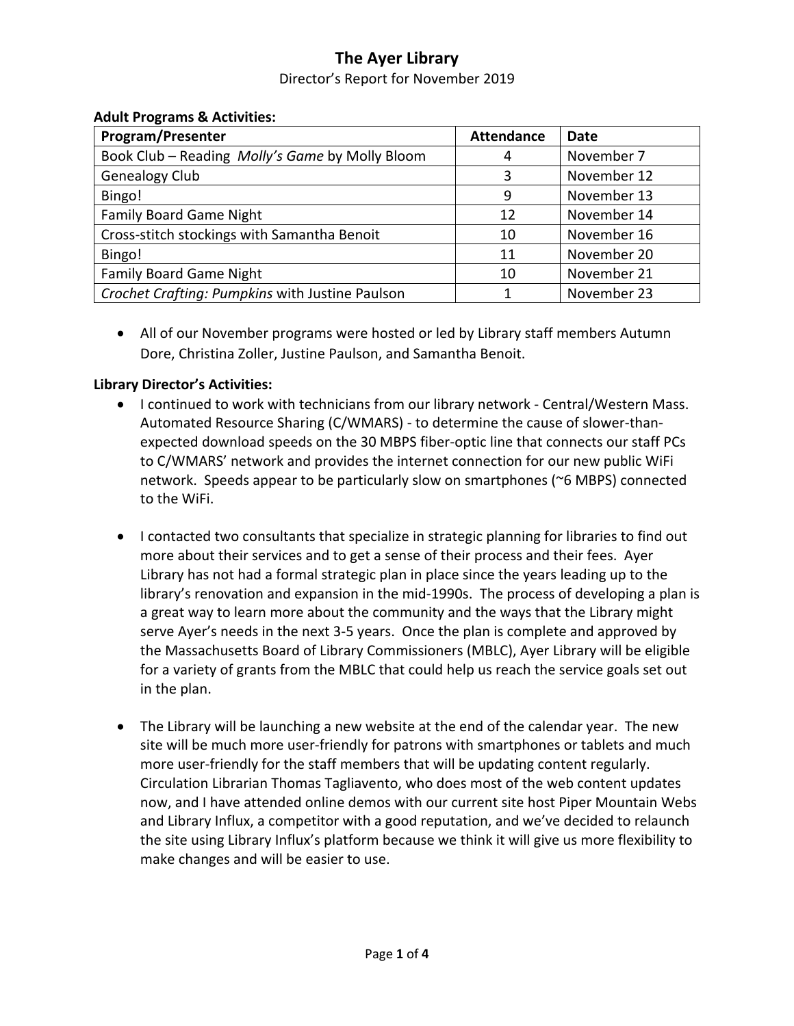Director's Report for November 2019

| $\ldots$<br><b>Program/Presenter</b>            | <b>Attendance</b> | Date        |
|-------------------------------------------------|-------------------|-------------|
| Book Club - Reading Molly's Game by Molly Bloom | 4                 | November 7  |
| <b>Genealogy Club</b>                           | ς                 | November 12 |
| Bingo!                                          | 9                 | November 13 |
| <b>Family Board Game Night</b>                  | 12                | November 14 |
| Cross-stitch stockings with Samantha Benoit     | 10                | November 16 |
| Bingo!                                          | 11                | November 20 |
| <b>Family Board Game Night</b>                  | 10                | November 21 |
| Crochet Crafting: Pumpkins with Justine Paulson |                   | November 23 |

#### **Adult Programs & Activities:**

• All of our November programs were hosted or led by Library staff members Autumn Dore, Christina Zoller, Justine Paulson, and Samantha Benoit.

### **Library Director's Activities:**

- I continued to work with technicians from our library network Central/Western Mass. Automated Resource Sharing (C/WMARS) - to determine the cause of slower-thanexpected download speeds on the 30 MBPS fiber-optic line that connects our staff PCs to C/WMARS' network and provides the internet connection for our new public WiFi network. Speeds appear to be particularly slow on smartphones (~6 MBPS) connected to the WiFi.
- I contacted two consultants that specialize in strategic planning for libraries to find out more about their services and to get a sense of their process and their fees. Ayer Library has not had a formal strategic plan in place since the years leading up to the library's renovation and expansion in the mid-1990s. The process of developing a plan is a great way to learn more about the community and the ways that the Library might serve Ayer's needs in the next 3-5 years. Once the plan is complete and approved by the Massachusetts Board of Library Commissioners (MBLC), Ayer Library will be eligible for a variety of grants from the MBLC that could help us reach the service goals set out in the plan.
- The Library will be launching a new website at the end of the calendar year. The new site will be much more user-friendly for patrons with smartphones or tablets and much more user-friendly for the staff members that will be updating content regularly. Circulation Librarian Thomas Tagliavento, who does most of the web content updates now, and I have attended online demos with our current site host Piper Mountain Webs and Library Influx, a competitor with a good reputation, and we've decided to relaunch the site using Library Influx's platform because we think it will give us more flexibility to make changes and will be easier to use.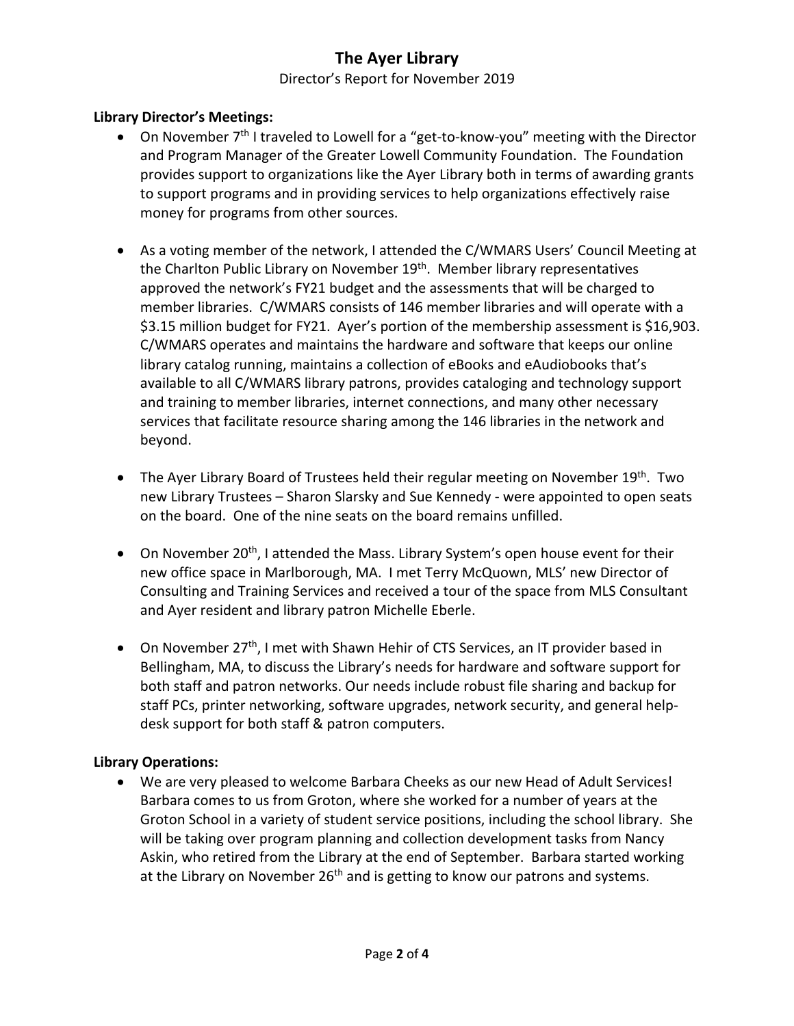### Director's Report for November 2019

### **Library Director's Meetings:**

- On November 7<sup>th</sup> I traveled to Lowell for a "get-to-know-you" meeting with the Director and Program Manager of the Greater Lowell Community Foundation. The Foundation provides support to organizations like the Ayer Library both in terms of awarding grants to support programs and in providing services to help organizations effectively raise money for programs from other sources.
- As a voting member of the network, I attended the C/WMARS Users' Council Meeting at the Charlton Public Library on November 19<sup>th</sup>. Member library representatives approved the network's FY21 budget and the assessments that will be charged to member libraries. C/WMARS consists of 146 member libraries and will operate with a \$3.15 million budget for FY21. Ayer's portion of the membership assessment is \$16,903. C/WMARS operates and maintains the hardware and software that keeps our online library catalog running, maintains a collection of eBooks and eAudiobooks that's available to all C/WMARS library patrons, provides cataloging and technology support and training to member libraries, internet connections, and many other necessary services that facilitate resource sharing among the 146 libraries in the network and beyond.
- The Ayer Library Board of Trustees held their regular meeting on November 19<sup>th</sup>. Two new Library Trustees – Sharon Slarsky and Sue Kennedy - were appointed to open seats on the board. One of the nine seats on the board remains unfilled.
- On November 20<sup>th</sup>, I attended the Mass. Library System's open house event for their new office space in Marlborough, MA. I met Terry McQuown, MLS' new Director of Consulting and Training Services and received a tour of the space from MLS Consultant and Ayer resident and library patron Michelle Eberle.
- On November 27<sup>th</sup>, I met with Shawn Hehir of CTS Services, an IT provider based in Bellingham, MA, to discuss the Library's needs for hardware and software support for both staff and patron networks. Our needs include robust file sharing and backup for staff PCs, printer networking, software upgrades, network security, and general helpdesk support for both staff & patron computers.

### **Library Operations:**

• We are very pleased to welcome Barbara Cheeks as our new Head of Adult Services! Barbara comes to us from Groton, where she worked for a number of years at the Groton School in a variety of student service positions, including the school library. She will be taking over program planning and collection development tasks from Nancy Askin, who retired from the Library at the end of September. Barbara started working at the Library on November  $26<sup>th</sup>$  and is getting to know our patrons and systems.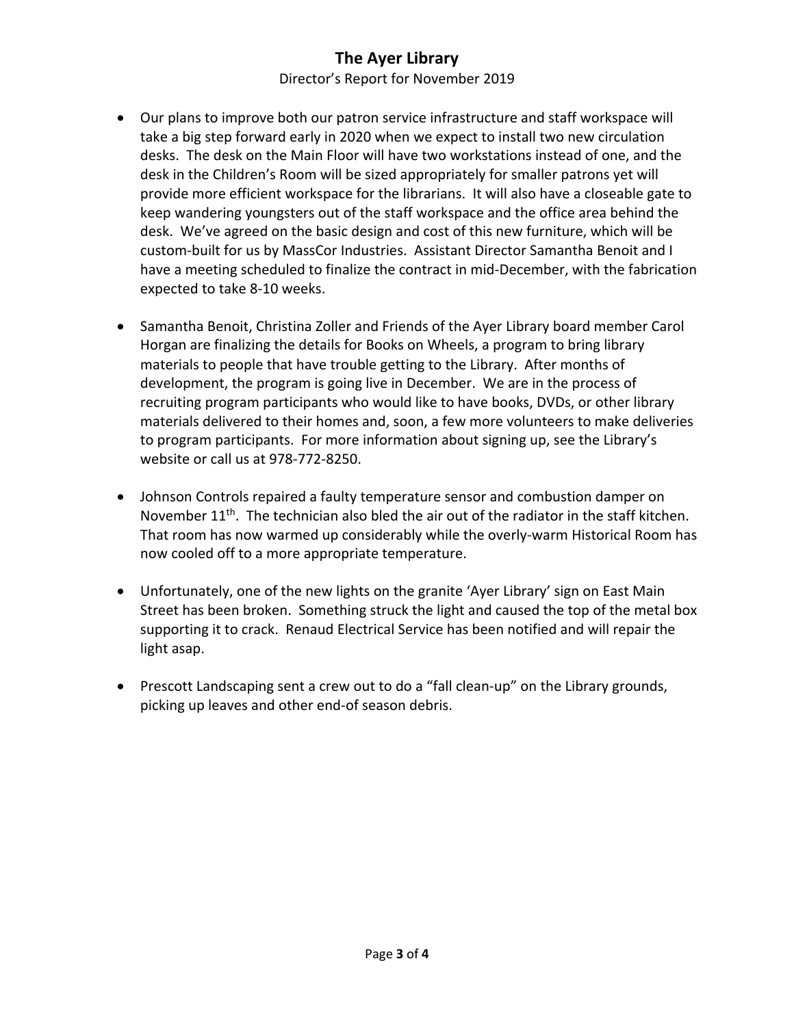Director's Report for November 2019

- Our plans to improve both our patron service infrastructure and staff workspace will take a big step forward early in 2020 when we expect to install two new circulation desks. The desk on the Main Floor will have two workstations instead of one, and the desk in the Children's Room will be sized appropriately for smaller patrons yet will provide more efficient workspace for the librarians. It will also have a closeable gate to keep wandering youngsters out of the staff workspace and the office area behind the desk. We've agreed on the basic design and cost of this new furniture, which will be custom-built for us by MassCor Industries. Assistant Director Samantha Benoit and I have a meeting scheduled to finalize the contract in mid-December, with the fabrication expected to take 8-10 weeks.
- Samantha Benoit, Christina Zoller and Friends of the Ayer Library board member Carol Horgan are finalizing the details for Books on Wheels, a program to bring library materials to people that have trouble getting to the Library. After months of development, the program is going live in December. We are in the process of recruiting program participants who would like to have books, DVDs, or other library materials delivered to their homes and, soon, a few more volunteers to make deliveries to program participants. For more information about signing up, see the Library's website or call us at 978-772-8250.
- Johnson Controls repaired a faulty temperature sensor and combustion damper on November  $11<sup>th</sup>$ . The technician also bled the air out of the radiator in the staff kitchen. That room has now warmed up considerably while the overly-warm Historical Room has now cooled off to a more appropriate temperature.
- Unfortunately, one of the new lights on the granite 'Ayer Library' sign on East Main Street has been broken. Something struck the light and caused the top of the metal box supporting it to crack. Renaud Electrical Service has been notified and will repair the light asap.
- Prescott Landscaping sent a crew out to do a "fall clean-up" on the Library grounds, picking up leaves and other end-of season debris.